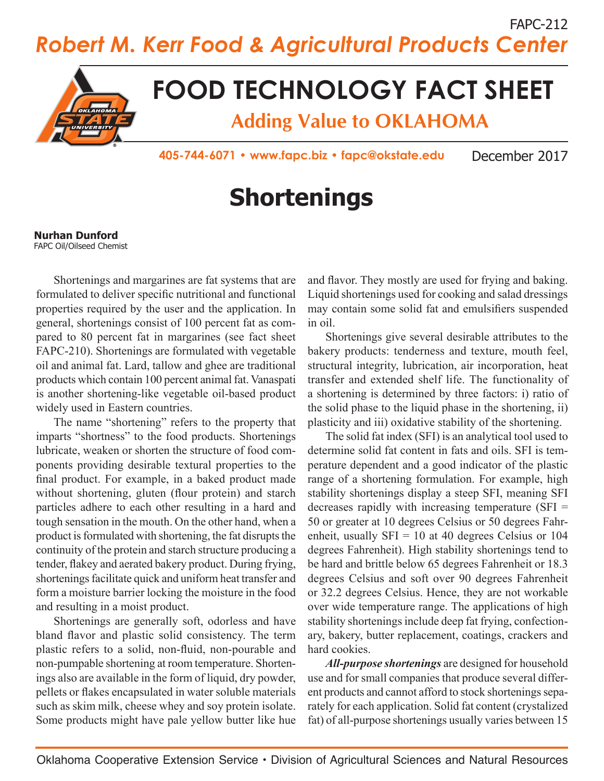FAPC-212 *Robert M. Kerr Food & Agricultural Products Center*



## **FOOD TECHNOLOGY FACT SHEET**

**Adding Value to OKLAHOMA**

**405-744-6071 • www.fapc.biz • fapc@okstate.edu** December 2017

# **Shortenings**

#### **Nurhan Dunford**

FAPC Oil/Oilseed Chemist

Shortenings and margarines are fat systems that are formulated to deliver specific nutritional and functional properties required by the user and the application. In general, shortenings consist of 100 percent fat as compared to 80 percent fat in margarines (see fact sheet FAPC-210). Shortenings are formulated with vegetable oil and animal fat. Lard, tallow and ghee are traditional products which contain 100 percent animal fat. Vanaspati is another shortening-like vegetable oil-based product widely used in Eastern countries.

The name "shortening" refers to the property that imparts "shortness" to the food products. Shortenings lubricate, weaken or shorten the structure of food components providing desirable textural properties to the final product. For example, in a baked product made without shortening, gluten (flour protein) and starch particles adhere to each other resulting in a hard and tough sensation in the mouth. On the other hand, when a product is formulated with shortening, the fat disrupts the continuity of the protein and starch structure producing a tender, flakey and aerated bakery product. During frying, shortenings facilitate quick and uniform heat transfer and form a moisture barrier locking the moisture in the food and resulting in a moist product.

Shortenings are generally soft, odorless and have bland flavor and plastic solid consistency. The term plastic refers to a solid, non-fluid, non-pourable and non-pumpable shortening at room temperature. Shortenings also are available in the form of liquid, dry powder, pellets or flakes encapsulated in water soluble materials such as skim milk, cheese whey and soy protein isolate. Some products might have pale yellow butter like hue

and flavor. They mostly are used for frying and baking. Liquid shortenings used for cooking and salad dressings may contain some solid fat and emulsifiers suspended in oil.

Shortenings give several desirable attributes to the bakery products: tenderness and texture, mouth feel, structural integrity, lubrication, air incorporation, heat transfer and extended shelf life. The functionality of a shortening is determined by three factors: i) ratio of the solid phase to the liquid phase in the shortening, ii) plasticity and iii) oxidative stability of the shortening.

The solid fat index (SFI) is an analytical tool used to determine solid fat content in fats and oils. SFI is temperature dependent and a good indicator of the plastic range of a shortening formulation. For example, high stability shortenings display a steep SFI, meaning SFI decreases rapidly with increasing temperature (SFI = 50 or greater at 10 degrees Celsius or 50 degrees Fahrenheit, usually  $SFI = 10$  at 40 degrees Celsius or 104 degrees Fahrenheit). High stability shortenings tend to be hard and brittle below 65 degrees Fahrenheit or 18.3 degrees Celsius and soft over 90 degrees Fahrenheit or 32.2 degrees Celsius. Hence, they are not workable over wide temperature range. The applications of high stability shortenings include deep fat frying, confectionary, bakery, butter replacement, coatings, crackers and hard cookies.

*All-purpose shortenings* are designed for household use and for small companies that produce several different products and cannot afford to stock shortenings separately for each application. Solid fat content (crystalized fat) of all-purpose shortenings usually varies between 15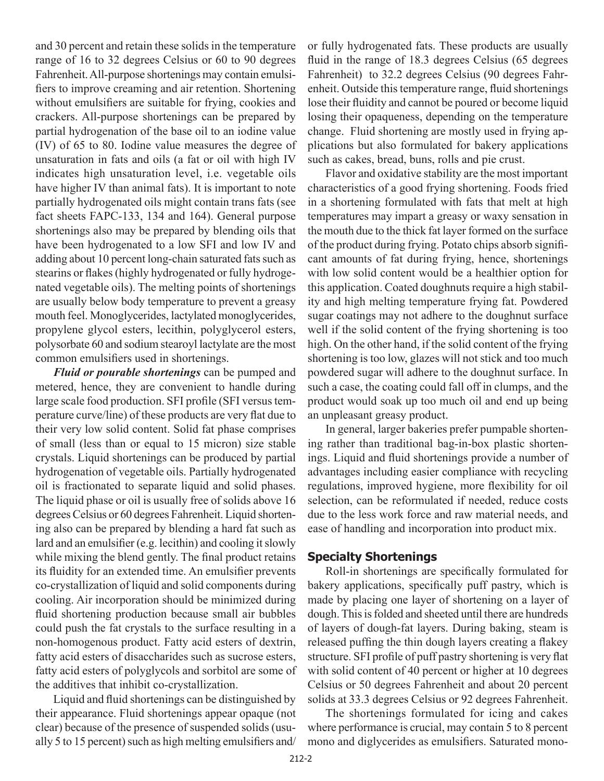and 30 percent and retain these solids in the temperature range of 16 to 32 degrees Celsius or 60 to 90 degrees Fahrenheit. All-purpose shortenings may contain emulsifiers to improve creaming and air retention. Shortening without emulsifiers are suitable for frying, cookies and crackers. All-purpose shortenings can be prepared by partial hydrogenation of the base oil to an iodine value (IV) of 65 to 80. Iodine value measures the degree of unsaturation in fats and oils (a fat or oil with high IV indicates high unsaturation level, i.e. vegetable oils have higher IV than animal fats). It is important to note partially hydrogenated oils might contain trans fats (see fact sheets FAPC-133, 134 and 164). General purpose shortenings also may be prepared by blending oils that have been hydrogenated to a low SFI and low IV and adding about 10 percent long-chain saturated fats such as stearins or flakes (highly hydrogenated or fully hydrogenated vegetable oils). The melting points of shortenings are usually below body temperature to prevent a greasy mouth feel. Monoglycerides, lactylated monoglycerides, propylene glycol esters, lecithin, polyglycerol esters, polysorbate 60 and sodium stearoyl lactylate are the most common emulsifiers used in shortenings.

*Fluid or pourable shortenings* can be pumped and metered, hence, they are convenient to handle during large scale food production. SFI profile (SFI versus temperature curve/line) of these products are very flat due to their very low solid content. Solid fat phase comprises of small (less than or equal to 15 micron) size stable crystals. Liquid shortenings can be produced by partial hydrogenation of vegetable oils. Partially hydrogenated oil is fractionated to separate liquid and solid phases. The liquid phase or oil is usually free of solids above 16 degrees Celsius or 60 degrees Fahrenheit. Liquid shortening also can be prepared by blending a hard fat such as lard and an emulsifier (e.g. lecithin) and cooling it slowly while mixing the blend gently. The final product retains its fluidity for an extended time. An emulsifier prevents co-crystallization of liquid and solid components during cooling. Air incorporation should be minimized during fluid shortening production because small air bubbles could push the fat crystals to the surface resulting in a non-homogenous product. Fatty acid esters of dextrin, fatty acid esters of disaccharides such as sucrose esters, fatty acid esters of polyglycols and sorbitol are some of the additives that inhibit co-crystallization.

Liquid and fluid shortenings can be distinguished by their appearance. Fluid shortenings appear opaque (not clear) because of the presence of suspended solids (usually 5 to 15 percent) such as high melting emulsifiers and/

or fully hydrogenated fats. These products are usually fluid in the range of 18.3 degrees Celsius (65 degrees Fahrenheit) to 32.2 degrees Celsius (90 degrees Fahrenheit. Outside this temperature range, fluid shortenings lose their fluidity and cannot be poured or become liquid losing their opaqueness, depending on the temperature change. Fluid shortening are mostly used in frying applications but also formulated for bakery applications such as cakes, bread, buns, rolls and pie crust.

Flavor and oxidative stability are the most important characteristics of a good frying shortening. Foods fried in a shortening formulated with fats that melt at high temperatures may impart a greasy or waxy sensation in the mouth due to the thick fat layer formed on the surface of the product during frying. Potato chips absorb significant amounts of fat during frying, hence, shortenings with low solid content would be a healthier option for this application. Coated doughnuts require a high stability and high melting temperature frying fat. Powdered sugar coatings may not adhere to the doughnut surface well if the solid content of the frying shortening is too high. On the other hand, if the solid content of the frying shortening is too low, glazes will not stick and too much powdered sugar will adhere to the doughnut surface. In such a case, the coating could fall off in clumps, and the product would soak up too much oil and end up being an unpleasant greasy product.

In general, larger bakeries prefer pumpable shortening rather than traditional bag-in-box plastic shortenings. Liquid and fluid shortenings provide a number of advantages including easier compliance with recycling regulations, improved hygiene, more flexibility for oil selection, can be reformulated if needed, reduce costs due to the less work force and raw material needs, and ease of handling and incorporation into product mix.

#### **Specialty Shortenings**

Roll-in shortenings are specifically formulated for bakery applications, specifically puff pastry, which is made by placing one layer of shortening on a layer of dough. This is folded and sheeted until there are hundreds of layers of dough-fat layers. During baking, steam is released puffing the thin dough layers creating a flakey structure. SFI profile of puff pastry shortening is very flat with solid content of 40 percent or higher at 10 degrees Celsius or 50 degrees Fahrenheit and about 20 percent solids at 33.3 degrees Celsius or 92 degrees Fahrenheit.

The shortenings formulated for icing and cakes where performance is crucial, may contain 5 to 8 percent mono and diglycerides as emulsifiers. Saturated mono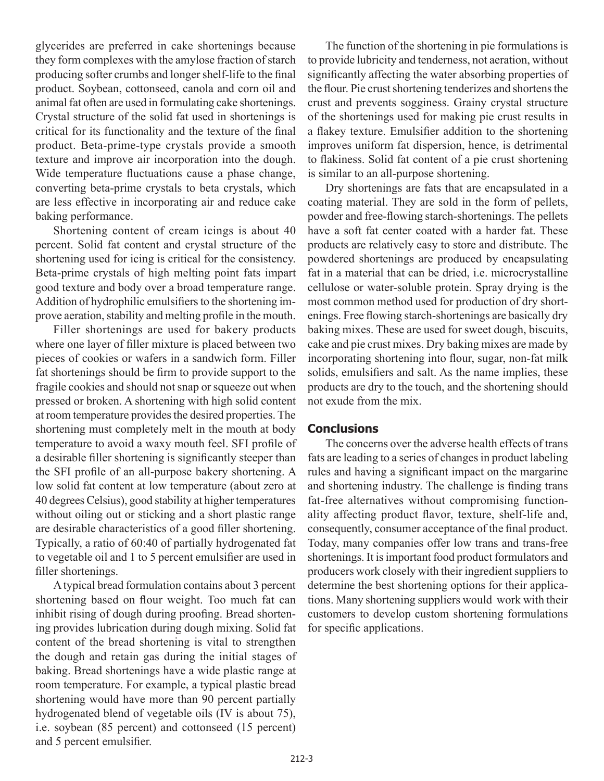glycerides are preferred in cake shortenings because they form complexes with the amylose fraction of starch producing softer crumbs and longer shelf-life to the final product. Soybean, cottonseed, canola and corn oil and animal fat often are used in formulating cake shortenings. Crystal structure of the solid fat used in shortenings is critical for its functionality and the texture of the final product. Beta-prime-type crystals provide a smooth texture and improve air incorporation into the dough. Wide temperature fluctuations cause a phase change, converting beta-prime crystals to beta crystals, which are less effective in incorporating air and reduce cake baking performance.

Shortening content of cream icings is about 40 percent. Solid fat content and crystal structure of the shortening used for icing is critical for the consistency. Beta-prime crystals of high melting point fats impart good texture and body over a broad temperature range. Addition of hydrophilic emulsifiers to the shortening improve aeration, stability and melting profile in the mouth.

Filler shortenings are used for bakery products where one layer of filler mixture is placed between two pieces of cookies or wafers in a sandwich form. Filler fat shortenings should be firm to provide support to the fragile cookies and should not snap or squeeze out when pressed or broken. A shortening with high solid content at room temperature provides the desired properties. The shortening must completely melt in the mouth at body temperature to avoid a waxy mouth feel. SFI profile of a desirable filler shortening is significantly steeper than the SFI profile of an all-purpose bakery shortening. A low solid fat content at low temperature (about zero at 40 degrees Celsius), good stability at higher temperatures without oiling out or sticking and a short plastic range are desirable characteristics of a good filler shortening. Typically, a ratio of 60:40 of partially hydrogenated fat to vegetable oil and 1 to 5 percent emulsifier are used in filler shortenings.

A typical bread formulation contains about 3 percent shortening based on flour weight. Too much fat can inhibit rising of dough during proofing. Bread shortening provides lubrication during dough mixing. Solid fat content of the bread shortening is vital to strengthen the dough and retain gas during the initial stages of baking. Bread shortenings have a wide plastic range at room temperature. For example, a typical plastic bread shortening would have more than 90 percent partially hydrogenated blend of vegetable oils (IV is about 75), i.e. soybean (85 percent) and cottonseed (15 percent) and 5 percent emulsifier.

The function of the shortening in pie formulations is to provide lubricity and tenderness, not aeration, without significantly affecting the water absorbing properties of the flour. Pie crust shortening tenderizes and shortens the crust and prevents sogginess. Grainy crystal structure of the shortenings used for making pie crust results in a flakey texture. Emulsifier addition to the shortening improves uniform fat dispersion, hence, is detrimental to flakiness. Solid fat content of a pie crust shortening is similar to an all-purpose shortening.

Dry shortenings are fats that are encapsulated in a coating material. They are sold in the form of pellets, powder and free-flowing starch-shortenings. The pellets have a soft fat center coated with a harder fat. These products are relatively easy to store and distribute. The powdered shortenings are produced by encapsulating fat in a material that can be dried, i.e. microcrystalline cellulose or water-soluble protein. Spray drying is the most common method used for production of dry shortenings. Free flowing starch-shortenings are basically dry baking mixes. These are used for sweet dough, biscuits, cake and pie crust mixes. Dry baking mixes are made by incorporating shortening into flour, sugar, non-fat milk solids, emulsifiers and salt. As the name implies, these products are dry to the touch, and the shortening should not exude from the mix.

#### **Conclusions**

The concerns over the adverse health effects of trans fats are leading to a series of changes in product labeling rules and having a significant impact on the margarine and shortening industry. The challenge is finding trans fat-free alternatives without compromising functionality affecting product flavor, texture, shelf-life and, consequently, consumer acceptance of the final product. Today, many companies offer low trans and trans-free shortenings. It is important food product formulators and producers work closely with their ingredient suppliers to determine the best shortening options for their applications. Many shortening suppliers would work with their customers to develop custom shortening formulations for specific applications.